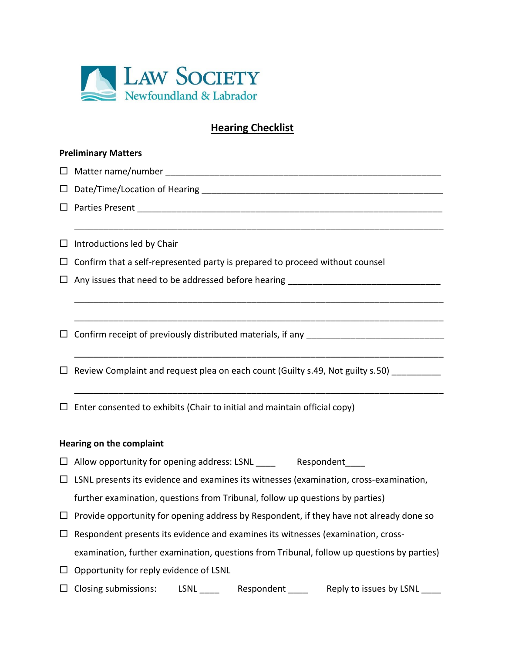

# **Hearing Checklist**

\_\_\_\_\_\_\_\_\_\_\_\_\_\_\_\_\_\_\_\_\_\_\_\_\_\_\_\_\_\_\_\_\_\_\_\_\_\_\_\_\_\_\_\_\_\_\_\_\_\_\_\_\_\_\_\_\_\_\_\_\_\_\_\_\_\_\_\_\_\_\_\_\_\_\_

\_\_\_\_\_\_\_\_\_\_\_\_\_\_\_\_\_\_\_\_\_\_\_\_\_\_\_\_\_\_\_\_\_\_\_\_\_\_\_\_\_\_\_\_\_\_\_\_\_\_\_\_\_\_\_\_\_\_\_\_\_\_\_\_\_\_\_\_\_\_\_\_\_\_\_

\_\_\_\_\_\_\_\_\_\_\_\_\_\_\_\_\_\_\_\_\_\_\_\_\_\_\_\_\_\_\_\_\_\_\_\_\_\_\_\_\_\_\_\_\_\_\_\_\_\_\_\_\_\_\_\_\_\_\_\_\_\_\_\_\_\_\_\_\_\_\_\_\_\_\_

\_\_\_\_\_\_\_\_\_\_\_\_\_\_\_\_\_\_\_\_\_\_\_\_\_\_\_\_\_\_\_\_\_\_\_\_\_\_\_\_\_\_\_\_\_\_\_\_\_\_\_\_\_\_\_\_\_\_\_\_\_\_\_\_\_\_\_\_\_\_\_\_\_\_\_

\_\_\_\_\_\_\_\_\_\_\_\_\_\_\_\_\_\_\_\_\_\_\_\_\_\_\_\_\_\_\_\_\_\_\_\_\_\_\_\_\_\_\_\_\_\_\_\_\_\_\_\_\_\_\_\_\_\_\_\_\_\_\_\_\_\_\_\_\_\_\_\_\_\_\_

#### **Preliminary Matters**

 Matter name/number \_\_\_\_\_\_\_\_\_\_\_\_\_\_\_\_\_\_\_\_\_\_\_\_\_\_\_\_\_\_\_\_\_\_\_\_\_\_\_\_\_\_\_\_\_\_\_\_\_\_\_\_\_\_\_\_  $\Box$  Date/Time/Location of Hearing  $\Box$ 

Parties Present \_\_\_\_\_\_\_\_\_\_\_\_\_\_\_\_\_\_\_\_\_\_\_\_\_\_\_\_\_\_\_\_\_\_\_\_\_\_\_\_\_\_\_\_\_\_\_\_\_\_\_\_\_\_\_\_\_\_\_\_\_\_

 $\Box$  Introductions led by Chair

 $\Box$  Confirm that a self-represented party is prepared to proceed without counsel

 $\Box$  Any issues that need to be addressed before hearing  $\Box$ 

 $\Box$  Confirm receipt of previously distributed materials, if any

 $\Box$  Review Complaint and request plea on each count (Guilty s.49, Not guilty s.50)

 $\Box$  Enter consented to exhibits (Chair to initial and maintain official copy)

## **Hearing on the complaint**

- $\Box$  Allow opportunity for opening address: LSNL \_\_\_\_\_\_\_\_\_\_\_\_ Respondent
- $\Box$  LSNL presents its evidence and examines its witnesses (examination, cross-examination, further examination, questions from Tribunal, follow up questions by parties)
- $\Box$  Provide opportunity for opening address by Respondent, if they have not already done so
- $\Box$  Respondent presents its evidence and examines its witnesses (examination, crossexamination, further examination, questions from Tribunal, follow up questions by parties)
- $\Box$  Opportunity for reply evidence of LSNL
- $\square$  Closing submissions: LSNL \_\_\_\_ Respondent \_\_\_\_ Reply to issues by LSNL \_\_\_\_